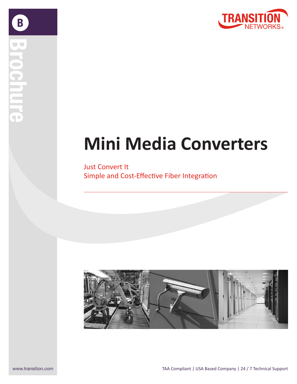

 $\mathbf B$ 

# **Mini Media Converters**

Just Convert It Simple and Cost-Effective Fiber Integration

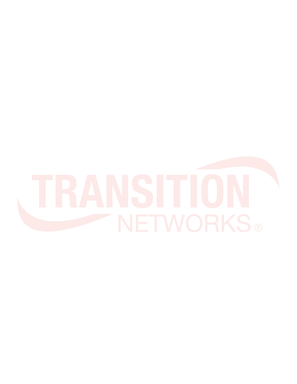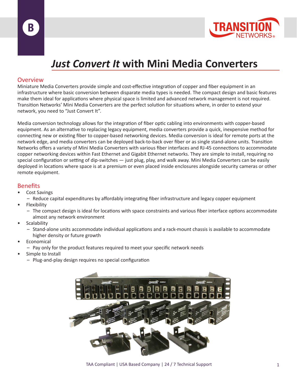



### *Just Convert It* **with Mini Media Converters**

#### **Overview**

Miniature Media Converters provide simple and cost-effective integration of copper and fiber equipment in an infrastructure where basic conversion between disparate media types is needed. The compact design and basic features make them ideal for applications where physical space is limited and advanced network management is not required. Transition Networks' Mini Media Converters are the perfect solution for situations where, in order to extend your network, you need to "Just Convert It".

Media conversion technology allows for the integration of fiber optic cabling into environments with copper-based equipment. As an alternative to replacing legacy equipment, media converters provide a quick, inexpensive method for connecting new or existing fiber to copper-based networking devices. Media conversion is ideal for remote ports at the network edge, and media converters can be deployed back-to-back over fiber or as single stand-alone units. Transition Networks offers a variety of Mini Media Converters with various fiber interfaces and RJ-45 connections to accommodate copper networking devices within Fast Ethernet and Gigabit Ethernet networks. They are simple to install, requiring no special configuration or setting of dip-switches — just plug, play, and walk away. Mini Media Converters can be easily deployed in locations where space is at a premium or even placed inside enclosures alongside security cameras or other remote equipment.

#### **Benefits**

- Cost Savings
	- Reduce capital expenditures by affordably integrating fiber infrastructure and legacy copper equipment
- **Flexibility** 
	- The compact design is ideal for locations with space constraints and various fiber interface options accommodate almost any network environment
- Scalability
	- Stand-alone units accommodate individual applications and a rack-mount chassis is available to accommodate higher density or future growth
- **Economical**
- Pay only for the product features required to meet your specific network needs
- Simple to Install
	- Plug-and-play design requires no special configuration



TAA Compliant | USA Based Company | 24 / 7 Technical Support 1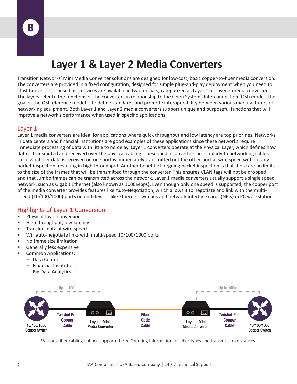### **Layer 1 & Layer 2 Media Converters**

Transition Networks' Mini Media Converter solutions are designed for low-cost, basic copper-to-fiber media conversion. The converters are provided in a fixed configuration, designed for simple plug-and-play deployment when you need to "Just Convert It". These basic devices are available in two formats, categorized as Layer 1 or Layer 2 media converters. The layers refer to the functions of the converters in relationship to the Open Systems Interconnection (OSI) model. The goal of the OSI reference model is to define standards and promote interoperability between various manufacturers of networking equipment. Both Layer 1 and Layer 2 media converters support unique and purposeful functions that will improve a network's performance when used in specific applications.

#### Layer 1

Layer 1 media converters are ideal for applications where quick throughput and low latency are top priorities. Networks in data centers and financial institutions are good examples of these applications since these networks require immediate processing of data with little to no delay. Layer 1 converters operate at the Physical Layer, which defines how data is transmitted and received over the physical cabling. These media converters act similarly to networking cables since whatever data is received on one port is immediately transmitted out the other port at wire speed without any packet inspection, resulting in high throughput. Another benefit of forgoing packet inspection is that there are no limits to the size of the frames that will be transmitted through the converter. This ensures VLAN tags will not be dropped and that Jumbo frames can be transmitted across the network. Layer 1 media converters usually support a single speed network, such as Gigabit Ethernet (also known as 1000Mbps). Even though only one speed is supported, the copper port of the media converter provides features like Auto-Negotiation, which allows it to negotiate and link with the multispeed (10/100/1000) ports on end devices like Ethernet switches and network interface cards (NICs) in PC workstations.

#### Highlights of Layer 1 Conversion

- Physical Layer conversion
- High throughput, low latency
- Transfers data at wire speed
- Will auto-negotiate links with multi-speed 10/100/1000 ports
- No frame size limitation
- Generally less expensive
- Common Applications:
	- Data Centers
	- Financial Institutions
	- Big Data Analytics



\*Various fiber cabling options supported. See Ordering Information for fiber types and transmission distances.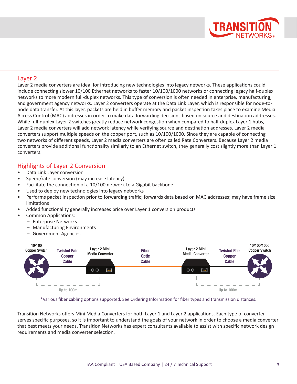

#### Layer 2

Layer 2 media converters are ideal for introducing new technologies into legacy networks. These applications could include connecting slower 10/100 Ethernet networks to faster 10/100/1000 networks or connecting legacy half-duplex networks to more modern full-duplex networks. This type of conversion is often needed in enterprise, manufacturing, and government agency networks. Layer 2 converters operate at the Data Link Layer, which is responsible for node-tonode data transfer. At this layer, packets are held in buffer memory and packet inspection takes place to examine Media Access Control (MAC) addresses in order to make data forwarding decisions based on source and destination addresses. While full-duplex Layer 2 switches greatly reduce network congestion when compared to half-duplex Layer 1 hubs, Layer 2 media converters will add network latency while verifying source and destination addresses. Layer 2 media converters support multiple speeds on the copper port, such as 10/100/1000. Since they are capable of connecting two networks of different speeds, Layer 2 media converters are often called Rate Converters. Because Layer 2 media converters provide additional functionality similarly to an Ethernet switch, they generally cost slightly more than Layer 1 converters.

#### Highlights of Layer 2 Conversion

- Data Link Layer conversion
- Speed/rate conversion (may increase latency)
- Facilitate the connection of a 10/100 network to a Gigabit backbone
- Used to deploy new technologies into legacy networks
- Performs packet inspection prior to forwarding traffic; forwards data based on MAC addresses; may have frame size limitations
- Added functionality generally increases price over Layer 1 conversion products
- Common Applications:
	- Enterprise Networks
	- Manufacturing Environments
	- Government Agencies



\*Various fiber cabling options supported. See Ordering Information for fiber types and transmission distances.

Transition Networks offers Mini Media Converters for both Layer 1 and Layer 2 applications. Each type of converter serves specific purposes, so it is important to understand the goals of your network in order to choose a media converter that best meets your needs. Transition Networks has expert consultants available to assist with specific network design requirements and media converter selection.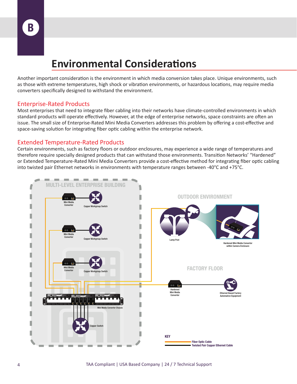### **Environmental Considerations**

Another important consideration is the environment in which media conversion takes place. Unique environments, such as those with extreme temperatures, high shock or vibration environments, or hazardous locations, may require media converters specifically designed to withstand the environment.

#### Enterprise-Rated Products

Most enterprises that need to integrate fiber cabling into their networks have climate-controlled environments in which standard products will operate effectively. However, at the edge of enterprise networks, space constraints are often an issue. The small size of Enterprise-Rated Mini Media Converters addresses this problem by offering a cost-effective and space-saving solution for integrating fiber optic cabling within the enterprise network.

#### Extended Temperature-Rated Products

Certain environments, such as factory floors or outdoor enclosures, may experience a wide range of temperatures and therefore require specially designed products that can withstand those environments. Transition Networks' "Hardened" or Extended Temperature-Rated Mini Media Converters provide a cost-effective method for integrating fiber optic cabling into twisted pair Ethernet networks in environments with temperature ranges between -40°C and +75°C.

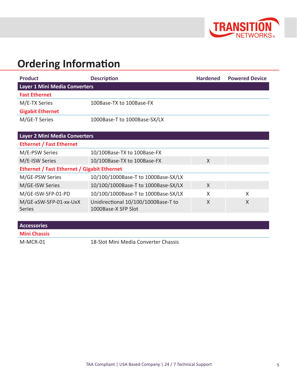

## **Ordering Information**

| <b>Product</b>                | <b>Description</b>           | <b>Hardened</b> | <b>Powered Device</b> |  |
|-------------------------------|------------------------------|-----------------|-----------------------|--|
| Layer 1 Mini Media Converters |                              |                 |                       |  |
| <b>Fast Ethernet</b>          |                              |                 |                       |  |
| M/E-TX Series                 | 100Base-TX to 100Base-FX     |                 |                       |  |
| <b>Gigabit Ethernet</b>       |                              |                 |                       |  |
| M/GE-T Series                 | 1000Base-T to 1000Base-SX/LX |                 |                       |  |

| Layer 2 Mini Media Converters                      |                                                            |              |   |  |
|----------------------------------------------------|------------------------------------------------------------|--------------|---|--|
| <b>Ethernet / Fast Ethernet</b>                    |                                                            |              |   |  |
| M/E-PSW Series                                     | 10/100Base-TX to 100Base-FX                                |              |   |  |
| M/E-ISW Series                                     | 10/100Base-TX to 100Base-FX                                | X            |   |  |
| <b>Ethernet / Fast Ethernet / Gigabit Ethernet</b> |                                                            |              |   |  |
| M/GE-PSW Series                                    | 10/100/1000Base-T to 1000Base-SX/LX                        |              |   |  |
| M/GE-ISW Series                                    | 10/100/1000Base-T to 1000Base-SX/LX                        | $\mathsf{X}$ |   |  |
| M/GE-ISW-SFP-01-PD                                 | 10/100/1000Base-T to 1000Base-SX/LX                        | X            | X |  |
| M/GE-xSW-SFP-01-xx-UxX<br><b>Series</b>            | Unidirectional 10/100/1000Base-T to<br>1000Base-X SFP Slot | X            | X |  |

| <b>Accessories</b>  |                                      |
|---------------------|--------------------------------------|
| <b>Mini Chassis</b> |                                      |
| M-MCR-01            | 18-Slot Mini Media Converter Chassis |

TAA Compliant | USA Based Company | 24 / 7 Technical Support 5